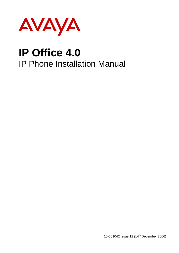

# **IP Office 4.0** IP Phone Installation Manual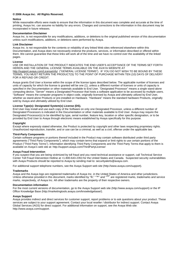#### **© 2006 Avaya Inc.All Rights Reserved.**

#### **Notice**

While reasonable efforts were made to ensure that the information in this document was complete and accurate at the time of printing, Avaya Inc. can assume no liability for any errors. Changes and corrections to the information in this document may be incorporated in future releases.

#### **Documentation Disclaimer**

Avaya Inc. is not responsible for any modifications, additions, or deletions to the original published version of this documentation unless such modifications, additions, or deletions were performed by Avaya.

#### **Link Disclaimer**

Avaya Inc. is not responsible for the contents or reliability of any linked Web sites referenced elsewhere within this Documentation, and Avaya does not necessarily endorse the products, services, or information described or offered within them. We cannot guarantee that these links will work all of the time and we have no control over the availability of the linked pages.

#### **License**

USE OR INSTALLATION OF THE PRODUCT INDICATES THE END USERíS ACCEPTANCE OF THE TERMS SET FORTH HEREIN AND THE GENERAL LICENSE TERMS AVAILABLE ON THE AVAYA WEBSITE AT <http://support.avaya.com/LicenseInfo/> ("GENERAL LICENSE TERMS"). IF YOU DO NOT WISH TO BE BOUND BY THESE TERMS, YOU MUST RETURN THE PRODUCT(S) TO THE POINT OF PURCHASE WITHIN TEN (10) DAYS OF DELIVERY FOR A REFUND OR CREDIT.

Avaya grants End User a license within the scope of the license types described below. The applicable number of licenses and units of capacity for which the license is granted will be one (1), unless a different number of licenses orunits of capacity is specified in the Documentation or other materials available to End User. "Designated Processor" means a single stand-alone computing device. "Server" means a Designated Processor that hosts a software application to be accessed by multiple users. ìSoftwareî means the computer programs in object code, originally licensed by Avaya and ultimately utilized by End User, whether as stand-alone Products or pre-installed on Hardware. "Hardware" means the standard hardware Products, originally sold by Avaya and ultimately utilized by End User.

#### **License Type(s): Designated System(s) License (DS).**

End User may install and use each copy of the Software on only one Designated Processor, unless a different number of Designated Processors is indicated in the Documentation or other materials available to End User. Avaya may require the Designated Processor(s) to be identified by type, serial number, feature key, location or other specific designation, or to be provided by End User to Avaya through electronic means established by Avaya specifically for this purpose.

#### **Copyright**

Except where expressly stated otherwise, the Product is protected by copyright and other laws respecting proprietary rights. Unauthorized reproduction, transfer, and or use can be a criminal, as well as a civil, offense under the applicable law.

#### **Third-Party Components**

Certain software programs or portions thereof included in the Product may contain software distributed under third party agreements ("Third Party Components"), which may contain terms that expand or limit rights to use certain portions of the Product ("Third Party Terms"). Information identifying Third Party Components and the Third Party Terms that apply to them is available on Avayaís web site at: <http://support.avaya.com/ThirdPartyLicense/>

#### **Avaya Fraud Intervention**

If you suspect that you are being victimized by toll fraud and you need technical assistance or support, call Technical Service Center Toll Fraud Intervention Hotline at +1-800-643-2353 for the United States and Canada. Suspected security vulnerabilities with Avaya Products should be reported to Avaya by sending mail to: [securityalerts@avaya.com.](mailto:securityalerts@avaya.com" )

For additional support telephone numbers, see the Avaya Support web site (http://www.avaya.com/support).

#### **Trademarks**

Avaya and the Avaya logo are registered trademarks of Avaya Inc. in the United States of America and other jurisdictions. Unless otherwise provided in this document, marks identified by "®," "™" and "S<sup>M"</sup> are registered marks, trademarks and service marks, respectively, of Avaya Inc. All other trademarks are the property of their respective owners.

#### **Documentation information**

For the most current versions of documentation, go to the Avaya Support web site (http://www.avaya.com/support) or the IP Office Knowledge Base (http://marketingtools.avaya.com/knowledgebase/).

#### **Avaya Support**

Avaya provides indirect and direct services for customer support, report problems orto ask questions about your product. These services are subject to your support agreement. Contact your local reseller / distributor for indirect support. Contact Avaya Global Services (AGS) for direct support. For additional information on support, see the Avaya Web site: <http://www.avaya.com/support>.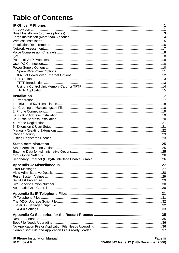# **Table of Contents**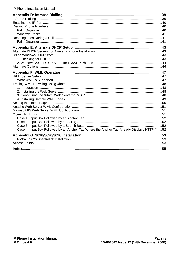| Case 4. Input Box Followed by an Anchor Tag Where the Anchor Tag Already Displays HTTP://52 |  |
|---------------------------------------------------------------------------------------------|--|
|                                                                                             |  |
|                                                                                             |  |
|                                                                                             |  |
| Index.                                                                                      |  |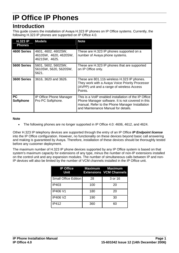# <span id="page-4-0"></span>**IP Office IP Phones**

### **Introduction**

This guide covers the installation of Avaya H.323 IP phones on IP Office systems. Currently, the following H.323 IP phones are supported on IP Office 4.0.

| <b>H.323 IP</b><br><b>Phones</b> | <b>Models</b>                                                 | <b>Note</b>                                                                                                                                                                                         |
|----------------------------------|---------------------------------------------------------------|-----------------------------------------------------------------------------------------------------------------------------------------------------------------------------------------------------|
| 4600 Series                      | 4601, 4602, 4602SW,<br>4610SW, 4620, 4620SW,<br>4621SW, 4625. | These are H.323 IP phones supported on a<br>number of Avaya phone systems.                                                                                                                          |
| 5600 Series                      | 5601, 5602, 5602SW,<br>5610SW, 5620, 5620SW,<br>5621.         | These are H.323 IP phones that are supported<br>on IP Office only.                                                                                                                                  |
| 3600 Series                      | 3616, 3620 and 3626.                                          | These are 801.11b wireless H.323 IP phones.<br>They work with a Avaya Voice Priority Processor<br>(AVPP) unit and a range of wireless Access<br>Points.                                             |
| <b>PC</b><br><b>Softphone</b>    | <b>IP Office Phone Manager</b><br>Pro PC Softphone.           | This is a VoIP enabled installation of the IP Office<br>Phone Manager software. It is not covered in this<br>manual. Refer to the Phone Manager Installation<br>and Maintenance Manual for details. |

#### **Note**

• The following phones are no longer supported in IP Office 4.0: 4606, 4612, and 4624.

Other H.323 IP telephony devices are supported through the entry of an IP Office **IP Endpoint license** into the IP Office configuration. However, no functionality on these devices beyond basic call answering and making is guaranteed by Avaya. Therefore, installation of these devices should be thoroughly tested before any customer deployment.

The maximum number of H.323 IP phone devices supported by any IP Office system is based on that system's maximum capacity for extensions of any type, minus the number of non-IP extensions installed on the control unit and any expansion modules. The number of simultaneous calls between IP and non-IP devices will also be limited by the number of VCM channels installed in the IP Office unit.

| <b>IP Office</b><br>Unit    |     | <b>Maximum</b> Maximum<br><b>Extensions VCM Channels</b> |
|-----------------------------|-----|----------------------------------------------------------|
| <b>Small Office Edition</b> | 28  | 3 or 16                                                  |
| IP403                       | 100 | 20                                                       |
| <b>IP406 V1</b>             | 180 | 20                                                       |
| <b>IP406 V2</b>             | 190 | 30                                                       |
| <b>IP412</b>                | 360 | 60                                                       |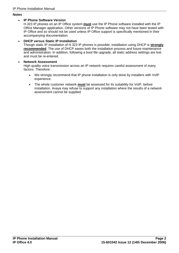#### **Notes**

#### **IP Phone Software Version**

H.323 IP phones on an IP Office system **must** use the IP Phone software installed with the IP Office Manager application. Other versions of IP Phone software may not have been tested with IP Office and so should not be used unless IP Office support is specifically mentioned in their accompanying documentation.

#### **DHCP versus Static IP Installation**

Though static IP installation of H.323 IP phones is possible, installation using DHCP is **strongly recommended**. The use of DHCP eases both the installation process and future maintenance and administration. In addition, following a boot file upgrade, all static address settings are lost and must be re-entered.

#### **Network Assessment**

High quality voice transmission across an IP network requires careful assessment of many factors. Therefore:

- We strongly recommend that IP phone installation is only done by installers with VoIP experience.
- The whole customer network **must** be assessed for its suitability for VoIP, before installation. Avaya may refuse to support any installation where the results of a network assessment cannot be supplied.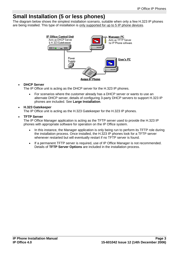## <span id="page-6-0"></span>**Small Installation (5 or less phones)**

The diagram below shows the simplest installation scenario, suitable when only a few H.323 IP phones are being installed. This type of installation is only supported for up to 5 IP phone devices.



#### **DHCP Server**

The IP Office unit is acting as the DHCP server for the H.323 IP phones.

 For scenarios where the customer already has a DHCP server or wants to use an alternate DHCP server, details of configuring 3-party DHCP servers to support H.323 IP phones are included. See **Large Installation**.

#### **H.323 Gatekeeper**

The IP Office unit is acting as the H.323 Gatekeeper for the H.323 IP phones.

#### **TFTP Server**

The IP Office Manager application is acting as the TFTP server used to provide the H.323 IP phones with appropriate software for operation on the IP Office system.

- In this instance, the Manager application is only being run to perform its TFTP role during the installation process. Once installed, the H.323 IP phones look for a TFTP server whenever restarted but will eventually restart if no TFTP server is found.
- If a permanent TFTP server is required, use of IP Office Manager is not recommended. Details of **TFTP Server Options** are included in the installation process.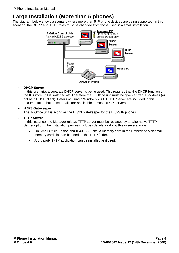# <span id="page-7-0"></span>**Large Installation (More than 5 phones)**

The diagram below shows a scenario where more than 5 IP phone devices are being supported. In this scenario, the DHCP and TFTP roles must be changed from those used in a small installation.



#### **DHCP Server**

In this scenario, a separate DHCP server is being used. This requires that the DHCP function of the IP Office unit is switched off. Therefore the IP Office unit must be given a fixed IP address (or act as a DHCP client). Details of using a Windows 2000 DHCP Server are included in this documentation but those details are applicable to most DHCP servers.

#### **H.323 Gatekeeper**

The IP Office unit is acting as the H.323 Gatekeeper for the H.323 IP phones.

#### **TFTP Server**

In this instance, the Manager role as TFTP server must be replaced by an alternative TFTP Server option. The installation process includes details for doing this in several ways:

- On Small Office Edition and IP406 V2 units, a memory card in the Embedded Voicemail Memory card slot can be used as the TFTP folder.
- A 3rd party TFTP application can be installed and used.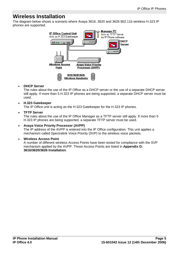### <span id="page-8-0"></span>**Wireless Installation**

The diagram below shows a scenario where Avaya 3616, 3620 and 3626 802.11b wireless H.323 IP phones are supported.



#### **DHCP Server**

The rules about the use of the IP Office as a DHCP server or the use of a separate DHCP server still apply. If more than 5 H.323 IP phones are being supported, a separate DHCP server must be used.

#### **H.323 Gatekeeper**

The IP Office unit is acting as the H.323 Gatekeeper for the H.323 IP phones.

#### **TFTP Server**

The rules about the use of the IP Office Manager as a TFTP server still apply. If more than 5 H.323 IP phones are being supported, a separate TFTP server must be used.

#### **Avaya Voice Priority Processor (AVPP)**

The IP address of the AVPP is entered into the IP Office configuration. This unit applies a mechanism called Spectralink Voice Priority (SVP) to the wireless voice packets.

#### **Wireless Access Point**

A number of different wireless Access Points have been tested for compliance with the SVP mechanism applied by the AVPP. Those Access Points are listed in **Appendix G: 3616/3620/3626 Installation**.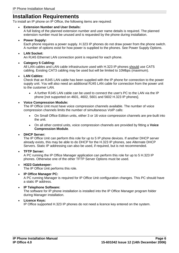### <span id="page-9-0"></span>**Installation Requirements**

To install an IP phone on IP Office, the following items are required:

#### **Extension Number and User Details:**

A full listing of the planned extension number and user name details is required. The planned extension number must be unused and is requested by the phone during installation.

#### **Power Supply:**

Each phone requires a power supply. H.323 IP phones do not draw power from the phone switch. A number of options exist for how power is supplied to the phones. See Power Supply Options.

#### **LAN Socket:**

An RJ45 Ethernet LAN connection point is required for each phone.

#### **Category 5 Cabling:**

All LAN cables and LAN cable infrastructure used with H.323 IP phones should use CAT5 cabling. Existing CAT3 cabling may be used but will be limited to 10Mbps (maximum).

#### **LAN Cables:**

Check that an RJ45 LAN cable has been supplied with the IP phone for connection to the power supply unit. You will also need an additional RJ45 LAN cable for connection from the power unit to the customer LAN.

 A further RJ45 LAN cable can be used to connect the user's PC to the LAN via the IP phone [not supported on 4601, 4602, 5601 and 5602 H.323 IP phones].

#### **Voice Compression Module:**

The IP Office Unit must have voice compression channels available. The number of voice compression channels limits the number of simultaneous VoIP calls:

- On Small Office Edition units, either 3 or 16 voice compression channels are pre-built into the unit.
- On all other control units, voice compression channels are provided by fitting a **Voice Compression Module**.

#### **DHCP Server:**

The IP Office Unit can perform this role for up to 5 IP phone devices. If another DHCP server already exists, this may be able to do DHCP for the H.323 IP phones, see Alternate DHCP Servers. Static IP addressing can also be used, if required, but is not recommended.

#### **TFTP Server:**

A PC running the IP Office Manager application can perform this role for up to 5 H.323 IP phones. Otherwise one of the other TFTP Server Options must be used.

#### **H323 Gatekeeper:**

The IP Office Unit performs this role.

#### **IP Office Manager PC:**

A PC running Manager is required for IP Office Unit configuration changes. This PC should have a static IP address.

#### **IP Telephone Software:**

The software for IP phone installation is installed into the IP Office Manager program folder during Manager installation.

#### **Licence Keys:**

IP Office supported H.323 IP phones do not need a licence key entered on the system.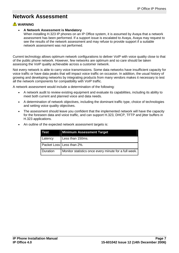## <span id="page-10-0"></span>**Network Assessment**

### **A** WARNING

#### **A Network Assessment is Mandatory**

When installing H.323 IP phones on an IP Office system, it is assumed by Avaya that a network assessment has been performed. If a support issue is escalated to Avaya, Avaya may request to see the results of the network assessment and may refuse to provide support if a suitable network assessment was not performed.

Current technology allows optimum network configurations to deliver VoIP with voice quality close to that of the public phone network. However, few networks are optimum and so care should be taken assessing the VoIP quality achievable across a customer network.

Not every network is able to carry voice transmissions. Some data networks have insufficient capacity for voice traffic or have data peaks that will impact voice traffic on occasion. In addition, the usual history of growing and developing networks by integrating products from many vendors makes it necessary to test all the network components for compatibility with VoIP traffic.

A network assessment would include a determination of the following:

- A network audit to review existing equipment and evaluate its capabilities, including its ability to meet both current and planned voice and data needs.
- A determination of network objectives, including the dominant traffic type, choice of technologies and setting voice quality objectives.
- The assessment should leave you confident that the implemented network will have the capacity for the foreseen data and voice traffic, and can support H.323, DHCP, TFTP and jitter buffers in H.323 applications.

| Test     | <b>Minimum Assessment Target</b>                      |
|----------|-------------------------------------------------------|
| Latency  | Less than 150ms.                                      |
|          | Packet Loss   Less than 2%.                           |
| Duration | Monitor statistics once every minute for a full week. |

An outline of the expected network assessment targets is: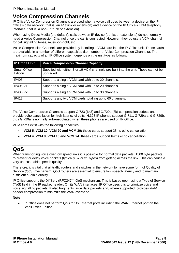### <span id="page-11-0"></span>**Voice Compression Channels**

IP Office Voice Compression Channels are used when a voice call goes between a device on the IP Office's data network (that is, an IP trunk or extension) and a device on the IP Office's TDM telephony interface (that is, a non-IP trunk or extension).

When using Direct Media (the default), calls between IP device (trunks or extensions) do not normally need a Voice Compression Channel once the call is connected. However, they do use a VCM channel for call signalling tones, music-on-hold, etc.

Voice Compression Channels are provided by installing a VCM card into the IP Office unit. These cards are available in a number of different capacities (i.e. number of Voice Compression Channels). The maximum capacity of an IP Office system depends on the unit type as follows:

| <b>IP Office Unit</b>          | <b>Voice Compression Channel Capacity</b>                                                       |
|--------------------------------|-------------------------------------------------------------------------------------------------|
| <b>Small Office</b><br>Edition | Supplied with either 3 or 16 VCM channels pre-built into the unit. These cannot be<br>upgraded. |
| IP403                          | Supports a single VCM card with up to 20 channels.                                              |
| <b>IP406 V1</b>                | Supports a single VCM card with up to 20 channels.                                              |
| <b>IP406 V2</b>                | Supports a single VCM card with up to 30 channels.                                              |
| <b>IP412</b>                   | Supports any two VCM cards totalling up to 60 channels.                                         |

The Voice Compression Channels support G.723 (6k3) and G.729a (8k) compression codecs and provide echo cancellation for high latency circuits. H.323 IP phones support G.711, G.729a and G.729b, thus G.729a is normally auto-negotiated when these phones are used on IP Office.

VCM cards exist with the following capacities.

- **VCM 5, VCM 10, VCM 20 and VCM 30:** these cards support 25ms echo cancellation.
- **VCM 4, VCM 8, VCM 16 and VCM 24:** these cards support 64ms echo cancellation.

# **QoS**

When transporting voice over low speed links it is possible for normal data packets (1500 byte packets) to prevent or delay voice packets (typically 67 or 31 bytes) from getting across the link.This can cause a very unacceptable speech quality.

Therefore, it is vital that all traffic routers and switches in the network to have some form of Quality of Service (QoS) mechanism. QoS routers are essential to ensure low speech latency and to maintain sufficient audible quality.

IP Office supports the DiffServ (RFC2474) QoS mechanism. This is based upon using a Type of Service (ToS) field in the IP packet header. On its WAN interfaces, IP Office uses this to prioritize voice and voice signalling packets. It also fragments large data packets and, where supported, provides VoIP header compression to minimize the WAN overhead.

**Note**

 IP Office does not perform QoS for its Ethernet ports including the WAN Ethernet port on the Small Office Edition.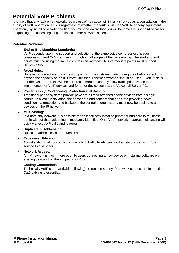### <span id="page-12-0"></span>**Potential VoIP Problems**

It is likely that any fault on a network, regardless of its cause, will initially show up as a degradation in the quality of VoIP operation. This is regardless of whether the fault is with the VoIP telephony equipment. Therefore, by installing a VoIP solution, you must be aware that you will become the first point of call for diagnosing and assessing all potential customer network issues.

#### **Potential Problems**

#### **End-to-End Matching Standards:**

VoIP depends upon the support and selection of the same voice compression, header compression and QoS standards throughout all stages of the calls routing. The start and end points must be using the same compression methods. All intermediate points must support DiffServ QoS.

#### **Avoid Hubs:**

Hubs introduce echo and congestion points. If the customer network requires LAN connections beyond the capacity of the IP Office Unit itself, Ethernet switches should be used. Even if this is not the case, Ethernet switches are recommended as they allow traffic prioritization to be implemented for VoIP devices and for other device such as the Voicemail Server PC.

#### **Power Supply Conditioning, Protection and Backup:**

Traditional phone systems provide power to all their attached phone devices from a single source. In a VoIP installation, the same care and concern that goes into providing power conditioning, protection and backup to the central phone system, must now be applied to all devices on the IP network.

#### **Multicasting:**

In a data only network, it is possible for an incorrectly installed printer or hub card to multicast traffic without that fault being immediately identified. On a VoIP network incorrect multicasting will quickly affect VoIP calls and features.

#### **Duplicate IP Addressing:**

Duplicate addresses is a frequent issue.

#### **Excessive Utilization:**

A workstation that constantly transmits high traffic levels can flood a network, causing VoIP service to disappear.

#### **Network Access:**

An IP network is much more open to users connecting a new device or installing software on existing devices that then impacts on VoIP.

#### **Cabling Connections:**

Technically VoIP can (bandwidth allowing) be run across any IP network connection. In practice, Cat5 cabling is essential.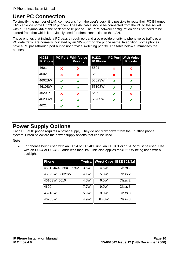### <span id="page-13-0"></span>**User PC Connection**

To simplify the number of LAN connections from the user's desk, it is possible to route their PC Ethernet LAN cable via some H.323 IP phones. The LAN cable should be connected from the PC to the socket with a PC symbol  $(\square)$  at the back of the IP phone. The PC's network configuration does not need to be altered from that which it previously used for direct connection to the LAN.

Those phones that include a PC pass-through port and also provide priority to phone voice traffic over PC data traffic are normally indicated by an SW suffix on the phone name. In addition, some phones have a PC pass-through port but do not provide switching priority. The table below summarizes the phones:

| H.232<br><b>IP Phone</b> |   | <b>PC Port With Voice</b><br><b>Priority</b> | H.232<br><b>IP Phone</b> |   | <b>PC Port With Voice</b><br><b>Priority</b> |
|--------------------------|---|----------------------------------------------|--------------------------|---|----------------------------------------------|
| 4601                     | × | ×                                            | 5601                     | × | ×                                            |
| 4602                     | × | ×                                            | 5602                     | × | ×                                            |
| 4602SW                   | J | J                                            | 5602SW                   | J | J                                            |
| 4610SW                   | J | J                                            | 5610SW                   | J | J                                            |
| 4620IP                   | × | ×                                            | 5620                     | J | ×                                            |
| 4620SW                   | J | J                                            | 5620SW                   | J | J                                            |
| 4621                     | ◢ | J                                            |                          |   |                                              |

## **Power Supply Options**

Each H.323 IP phone requires a power supply. They do not draw power from the IP Office phone system. Listed below are the power supply options that can be used.

#### **Note**

For phones being used with an EU24 or EU24BL unit, an 1151C1 or 1151C2 must be used. Use with an EU24 or EU24BL, adds less than 1W.This also applies for 4621SW being used with a backlight.

| <b>Phone</b>           |      |       | Typical Worst Case   IEEE 802.3af |
|------------------------|------|-------|-----------------------------------|
| 4601, 4602, 5601, 5602 | 3.5W | 4.6W  | Class 2                           |
| 4602SW, 5602SW         | 4.1W | 5.0W  | Class 2                           |
| 4610SW, 5610           | 4.0W | 6.0W  | Class 2                           |
| 4620                   | 7.7W | 9.9W  | Class 3                           |
| 4621SW                 | 5.9W | 8.0W  | Class 3                           |
| 4625SW                 | 4.9W | 6.45W | Class 3                           |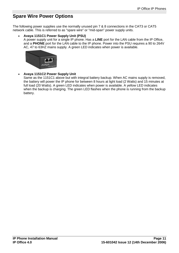### <span id="page-14-0"></span>**Spare Wire Power Options**

The following power supplies use the normally unused pin 7 & 8 connections in the CAT3 or CAT5 network cable. This is referred to as "spare wire" or "mid-span" power supply units.

#### **Avaya 1151C1 Power Supply Unit (PSU)**

A power supply unit for a single IP phone. Has a **LINE** port for the LAN cable from the IP Office, and a **PHONE** port for the LAN cable to the IP phone. Power into the PSU requires a 90 to 264V AC, 47 to 63HZ mains supply. A green LED indicates when power is available.



#### **Avaya 1151C2 Power Supply Unit**

Same as the 1151C1 above but with integral battery backup. When AC mains supply is removed, the battery will power the IP phone for between 8 hours at light load (2 Watts) and 15 minutes at full load (20 Watts). A green LED indicates when power is available. A yellow LED indicates when the backup is charging. The green LED flashes when the phone is running from the backup battery.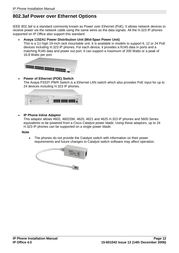### <span id="page-15-0"></span>**802.3af Power over Ethernet Options**

IEEE 802.3af is a standard commonly known as Power over Ethernet (PoE). It allows network devices to receive power via the network cable using the same wires as the data signals. All the H.323 IP phones supported on IP Office also support this standard.

#### **Avaya 1152A1 Power Distribution Unit (Mid-Span Power Unit)**

This is a 1U high 19-inch rack mountable unit. It is available in models to support 6, 12 or 24 PoE devices including H.323 IP phones. For each device, it provides a RJ45 data in ports and a matching RJ45 data and power out port. It can support a maximum of 200 Watts or a peak of 16.8 Watts per port.



#### **Power of Ethernet (POE) Switch**

The Avaya P333T-PWR Switch is a Ethernet LAN switch which also provides PoE input for up to 24 devices including H.323 IP phones.



**IP Phone Inline Adaptor**

This adaptor allows 4602, 4602SW, 4620, 4621 and 4625 H.323 IP phones and 5600 Series equivalents to be powered from a Cisco Catalyst power blade. Using these adaptors, up to 24 H.323 IP phones can be supported on a single power blade.

#### **Note**

• The phones do not provide the Catalyst switch with information on their power requirements and future changes to Catalyst switch software may affect operation.

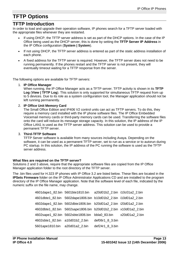# <span id="page-16-0"></span>**TFTP Options**

### **TFTP Introduction**

In order to load and upgrade their operation software, IP phones search for a TFTP server loaded with the appropriate files whenever they are restarted.

- If using DHCP, the TFTP server address is set as part of the DHCP options. In the case of the IP Office being used as the DHCP server, this is done by setting the **TFTP Server IP Address** in the IP Office configuration (**System | System**).
- If not using DHCP, the TFTP server address is entered as part of the static address installation of each phone.
- A fixed address for the TFTP server is required. However, the TFTP server does notneed to be running permanently. If the phones restart and the TFTP server is not present, they will eventually timeout waiting for a TFTP response from the server.

The following options are available for TFTP servers:

1. **IP Office Manager**

When running, the IP Office Manager acts as a TFTP server. TFTP activity is shown in its **TFTP Log** (**View | TFTP Log**). This solution is only supported for simultaneous TFTP request from up to 5 devices. Due to its role as a system configuration tool, the Manager application should not be left running permanently.

#### 2. **IP Office Unit Memory Card**

The Small Office Edition and IP406 V2 control units can act as TFTP servers. To do this, they require a memory card installed with the IP phone software files. The IP Office Embedded Voicemail memory cards or third-party memory cards can be used. Transferring the software files onto the card will reduce its message storage capacity. In this solution, the IP address of the IP Office LAN1 is used as the TFTP server address. This solution can be used to provide a permanent TFTP server.

#### 3. **Third-TFTP Software**

TFTP Server software is available from many sources including Avaya. Depending on the software, it can be used as a permanent TFTP server, set to run as a service or to autorun during PC startup. In this solution, the IP address of the PC running the software is used as the TFTP server address.

#### **What files are required on the TFTP server?**

Solutions 2 and 3 above, require that the appropriate software files are copied from the IP Office Manager application folder to the root directory of the TFTP server.

The .bin files used for H.323 IP phones with IP Office 3.2 are listed below. These files are located in the **IPSets Firmware** folder on the IP Office Administrator Applications CD and are installed to the program directory of the IP Office Manager application. Note that the software level of each file, indicated by the numeric suffix on the file name, may change.

|                                | 4601dape1_82.bin 5601bte1810.bin a20d01b2_2.bin i10c01a2_2.bin  |                 |  |
|--------------------------------|-----------------------------------------------------------------|-----------------|--|
|                                | 4601dbte1_82.bin 5602dape1806.bin b10d01b2_2.bin i10d01a2_2.bin |                 |  |
|                                | 4602dape1_82.bin 5602dbte1806.bin b20d01a2_2.bin i20d01a2_2.bin |                 |  |
|                                | 4602dbte1 82.bin 5602sape1806.bin b20d01b2 2.bin x10d01a2 2.bin |                 |  |
|                                | 4602sape1 82.bin 5602sbte1806.bin bbla0 83.bin x20d01a2 2.bin   |                 |  |
|                                | 4602sbte1 82.bin a10d01b2 2.bin                                 | def06r1 8 3.bin |  |
| 5601ape1810.bin a20d01a2 2.bin |                                                                 | def24r1 8 3.bin |  |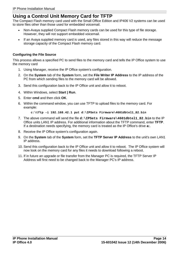### <span id="page-17-0"></span>**Using a Control Unit Memory Card for TFTP**

The Compact Flash memory card used with the Small Office Edition and IP406 V2 systems can be used to store files other than those used for embedded voicemail.

- Non-Avaya supplied Compact Flash memory cards can be used for this type of file storage. However, they will not support embedded voicemail.
- If an Avaya supplied memory card is used, any files stored in this way will reduce the message storage capacity of the Compact Flash memory card.

#### **Configuring the File Source**

This process allows a specified PC to send files to the memory card and tells the IP Office system to use the memory card

- 1. Using Manager, receive the IP Office system's configuration.
- 2. On the **System** tab of the **System** form, set the **File Writer IP Address** to the IP address of the PC from which sending files to the memory card will be allowed.
- 3. Send this configuration back to the IP Office unit and allow it to reboot.
- 4. Within Windows, select **Start | Run**.
- 5. Enter **cmd** and then click **OK**.
- 6. Within the command window, you can use TFTP to upload files to the memory card. For example:

**c:\tftp -i 192.168.42.1 put d:\IPSets Firmware\4601dbtel1\_82.bin**

- 7. The above command will send the file **d:\IPSets Firmware\4601dbtel1\_82.bin** to the IP Office units LAN1 IP address. For additional information about the TFTP command, enter **TFTP**. If a destination needs specifying, the memory card is treated as the IP Office's drive **a:**.
- 8. Receive the IP Office system's configuration again.
- 9. On the **System** tab of the **System** form, set the **TFTP Server IP Address** to the unit's own LAN1 IP address.
- 10. Send this configuration back to the IP Office unit and allow it to reboot. The IP Office system will now look on the memory card for any files it needs to download following a reboot.
- 11. If in future an upgrade or file transfer from the Manager PC is required, the TFTP Server IP Address will first need to be changed back to the Manager PC's IP address.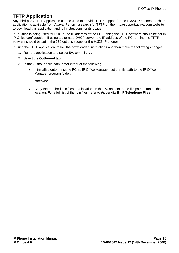### <span id="page-18-0"></span>**TFTP Application**

Any third-party TFTP application can be used to provide TFTP support for the H.323 IP phones. Such an application is available from Avaya. Perform a search for TFTP on the http://support.avaya.com website to download this application and full instructions for its usage.

If IP Office is being used for DHCP, the IP address of the PC running the TFTP software should be set in IP Office configuration. If using a alternate DHCP server, the IP address of the PC running the TFTP software should be set in the 176 options scope for the H.323 IP phones.

If using the TFTP application, follow the downloaded instructions and then make the following changes:

- 1. Run the application and select **System | Setup**.
- 2. Select the **Outbound** tab.
- 3. In the Outbound file path, enter either of the following:
	- If installed onto the same PC as IP Office Manager, set the file path to the IP Office Manager program folder.

otherwise;

 Copy the required .bin files to a location on the PC and set to the file path to match the location. For a full list of the .bin files, refer to **Appendix B: IP Telephone Files**.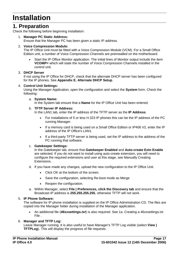# <span id="page-20-0"></span>**Installation**

### **1. Preparation**

Check the following before beginning installation:

#### 1. **Manager PC Static Address:**

Ensure that the Manager PC has been given a static IP address.

#### 2. **Voice Compression Module:**

The IP Office Unit must be fitted with a Voice Compression Module (VCM). For a Small Office Edition unit, a number of Voice Compression Channels are preinstalled on the motherboard.

 Start the IP Office Monitor application. The initial lines of Monitor output include the item **VCOMP=** which will state the number of Voice Compression Channels installed in the control unit.

#### 3. **DHCP Server**

If not using the IP Office for DHCP, check that the alternate DHCP server has been configured for the IP phones. See **Appendix E. Alternate DHCP Setup**.

#### 4. **Control Unit Settings:**

Using the Manager Application, open the configuration and select the **System** form. Check the following:

#### a. **System Name:**

In the System tab ensure that a **Name** for the IP Office Unit has been entered.

#### b. **TFTP Server IP Address:**

In the LAN1 tab, enter the IP address of the TFTP server as the **IP Address**.

- For installations of 5 or less H.323 IP phones this can be the IP address of the PC running Manager.
- If a memory card is being used on a Small Office Edition or IP406 V2, enter the IP address of the IP Office's LAN1.
- If a third-party TFTP server is being used, set the IP address to the address of the PC running that software.

#### c. **Gatekeeper Settings:**

In the Gatekeeper tab, ensure that **Gatekeeper Enabled** and **Auto-create Extn Enable** are selected. If you do not want to install using auto-create extension, you will need to configure the required extensions and user at this stage, see Manually Creating Extensions.

- d. If you have made any changes, upload the new configuration to the IP Office Unit.
	- Click OK at the bottom of the screen.
	- Save the configuration, selecting Re-boot mode as Merge
	- Reopen the configuration.
- a. Within Manager, select **File | Preferences, click the Discovery tab** and ensure that the Broadcast IP address is **255.255.255.255**, otherwise TFTP will not work.

#### 5. **IP Phone Software:**

The software for IP phone installation is supplied on the IP Office Administration CD. The files are copied into the Manager folder during installation of the Manager application.

 An additional file (**46xxsettings.txt**) is also required. See 1a. Creating a 46xxsettings.txt File .

#### 6. **Manager and TFTP Log:**

Leave Manager running. It is also useful to have Manager's TFTP Log visible (select **View | TFTPLog**). This will display the progress of file requests.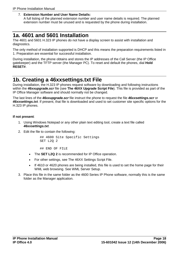<span id="page-21-0"></span>7. **Extension Number and User Name Details:**

A full listing of the planned extension number and user name details is required. The planned extension number must be unused and is requested by the phone during installation.

## **1a. 4601 and 5601 Installation**

The 4601 and 5601 H.323 IP phones do not have a display screen to assist with installation and diagnostics.

The only method of installation supported is DHCP and this means the preparation requirements listed in 1. Preparation are essential for successful installation.

During installation, the phone obtains and stores the IP addresses of the Call Server (the IP Office gatekeeper) and the TFTP server (the Manager PC). To reset and default the phones, dial **Hold RESET#**.

### **1b. Creating a 46xxsettings.txt File**

During installation, the H.323 IP phones request software by downloading and following instructions within the **46xxupgrade.scr** file (see **The 46XX Upgrade Script File**). This file is provided as part of the IP Office Manager software and should normally not be changed.

The last lines of the **46xxupgrade.scr** file instruct the phone to request the file **46xxsettings.scr** or **46xxsettings.txt**. If present, that file is downloaded and used to set customer site specific options for the H.323 IP phones.

#### **If not present**:

- 1. Using Windows Notepad or any other plain text editing tool, create a text file called **46xxsettings.txt**.
- 2. Edit the file to contain the following:

## 4600 Site Specific Settings SET L2Q 2

## END OF FILE

- The **SET L2Q 2** is recommended for IP Office operation.
- For other settings, see The 46XX Settings Script File.
- If 4610 or 4620 phones are being installed, this file is used to set the home page for their WML web browsing. See WML Server Setup.
- 3. Place this file in the same folder as the 4600 Series IP Phone software, normally this is the same folder as the Manager application.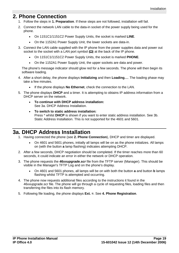### <span id="page-22-0"></span>**2. Phone Connection**

- 1. Follow the steps in **1. Preparation**. If these steps are not followed, installation will fail.
- 2. Connect the network LAN cable to the data-in socket of the power supply being used for the phone.
	- On 1151C1/1151C2 Power Supply Units, the socket is marked **LINE**.
	- On the 1152A1 Power Supply Unit, the lower sockets are data-in.
- 3. Connect the LAN cable supplied with the IP phone from the power supplies data and power out socket to the socket with a LAN port symbol  $(\square)$  at the back of the IP phone.
	- On 1151C1/1151C2 Power Supply Units, the socket is marked **PHONE**.
	- On the 1152A1 Power Supply Unit, the upper sockets are data and power.

The phone's message indicator should glow red for a few seconds. The phone will then begin its software loading.

- 4. After a short delay, the phone displays **Initializing** and then **LoadingÖ**. The loading phase may take a few minutes.
	- If the phone displays **No Ethernet**, check the connection to the LAN.
- 5. The phone displays **DHCP** and a timer. It is attempting to obtains IP address information from a DHCP server on the network.
	- **To continue with DHCP address installation:** See 3a. DHCP Address Installation.
	- **To switch to static address installation:** Press \* whilst **DHCP** is shown if you want to enter static address installation. See 3b. Static Address Installation. This is not supported for the 4601 and 5601.

## **3a. DHCP Address Installation**

- 1. Having connected the phone (see **2. Phone Connection**), DHCP and timer are displayed.
	- On 4601 and 5601 phones, initially all lamps will be on as the phone initializes. All lamps on (with the button **a** lamp flashing) indicates attempting DHCP.
- 2. After a few seconds, DHCP negotiation should be completed. If the timer reaches more than 60 seconds, it could indicate an error in either the network or DHCP operation.
- 3. The phone requests the **46xxupgrade.scr** file from the TFTP server (Manager). This should be visible in the Manager's TFTP Log and on the phone's display.
	- On 4601 and 5601 phones, all lamps will be on with both the button **a** and button **b** lamps flashing whilst TFTP is attempted and occurring.
- 4. The phone now requests additional files according to the instructions it found in the 46xxupgrade.scr file. The phone will go through a cycle of requesting files, loading files and then transferring the files into its flash memory.
- 5. Following file loading, the phone displays **Ext. =**. See **4. Phone Registration**.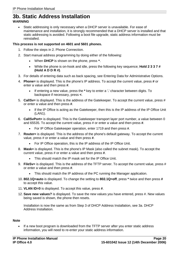### <span id="page-23-0"></span>**3b. Static Address Installation WARNING**

 Static addressing is only necessary when a DHCP server is unavailable. For ease of maintenance and installation, it is strongly recommended that a DHCP server is installed and that static addressing is avoided. Following a boot file upgrade, static address information must be reinstalled.

#### **This process is not supported on 4601 and 5601 phones.**

- 1. Follow the steps in 2. Phone Connection.
- 2. Start manual address programming by doing either of the following:
	- When **DHCP** is shown on the phone, press **\***.
	- While the phone is on-hook and idle, press the following key sequence; **Hold 2 3 3 7 # (Hold A D D R #)**.
- 3. For details of entering data such as back spacing, see Entering Data for Administrative Options.
- 4. **Phone=** is displayed. This is the phone's IP address. To accept the current value, press **#** or enter a value and then press **#**.
	- If entering a new value, press the **\*** key to enter a '**.**' character between digits. To backspace if necessary, press **<**.
- 5. **CallSv=** is displayed. This is the address of the Gatekeeper. To accept the current value, press # or enter a value and then press **#**.
	- If the IP Office is acting as the Gatekeeper, then this is the IP address of the IP Office Unit (LAN1).
- 6. **CallSvPort=** is displayed. This is the Gatekeeper transport layer port number, a value between 0 and 65535. To accept the current value, press # or enter a value and then press **#**.
	- For IP Office Gatekeeper operation, enter 1719 and then press **#**.
- 7. **Router=** is displayed. This is the address of the phone's default gateway. To accept the current value, press # or enter a value and then press **#**.
	- For IP Office operation, this is the IP address of the IP Office Unit.
- 8. **Mask=** is displayed. This is the phone's IP Mask (also called the subnet mask). To accept the current value, press # or enter a value and then press **#**.
	- This should match the IP mask set for the IP Office Unit.
- 9. **FileSv=** is displayed. This is the address of the TFTP server. To accept the current value, press # or enter a value and then press **#**.
	- This should match the IP address of the PC running the Manager application.
- 10. **802.1Q=auto** is displayed. To change the setting to **802.1Q=off**, press **\*** twice and then press **#** to accept this value.
- 11. **VLAN ID=0** is displayed. To accept this value, press **#**.
- 12. **Save new values?** is displayed. To save the new values you have entered, press #. New values being saved is shown, the phone then resets.

Installation is now the same as from Step 3 of DHCP Address Installation, see 3a. DHCP Address Installation.

#### **Note**

• If a new boot program is downloaded from the TFTP server after you enter static address information, you will need to re-enter your static address information.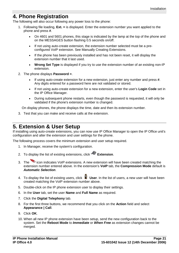### <span id="page-24-0"></span>**4. Phone Registration**

The following will also occur following any power loss to the phone:

- 1. Following file loading, **Ext. =** is displayed. Enter the extension number you want applied to the phone and press **#**.
	- On 4601 and 5601 phones, this stage is indicated by the lamp at the top of the phone and on the MESSAGES button flashing 0.5 seconds on/off.
	- If not using auto-create extension, the extension number selected must be a pre configured VoIP extension. See Manually Creating Extensions.
	- If the phone has been previously installed and has not been reset, it will display the extension number that it last used.
	- **Wrong Set Type** is displayed if you try to use the extension number of an existing non-IP extension.
- 2. The phone displays **Password =**.
	- If using auto-create extension for a new extension, just enter any number and press **#**. Any digits entered for a password here are not validated or stored.
	- If not using auto-create extension for a new extension, enter the user's **Login Code** set in the IP Office Manager.
	- During subsequent phone restarts, even though the password is requested, it will only be validated if the phone's extension number is changed.

On display phones, the phone displays the time, date and then its extension number.

3. Test that you can make and receive calls at the extension.

### **5. Extension & User Setup**

If installing using auto-create extensions, you can now use IP Office Manager to open the IP Office unit's configuration and alter the extension and user settings for the phone.

The following process covers the minimum extension and user setup required.

- 1. In Manager, receive the system's configuration.
- 2. To display the list of existing extensions, click **Extension**.
- 3. The icon indicates VoIP extensions. A new extension will have been created matching the extension number entered above. In the extension's **VoIP** tab, the **Compression Mode** default is **Automatic Selection**.
- 4. To display the list of existing users, click **User**. In the list of users, a new user will have been created matching the VoIP extension number above.
- 5. Double-click on the IP phone extension user to display their settings.
- 6. In the **User** tab, set the user **Name** and **FullName** as required.
- 7. Click the **Digital Telephony** tab.
- 8. For the first three buttons, we recommend that you click on the **Action** field and select **Appearance | Call**.
- 9. Click **OK**.
- 10. When all new IP phone extension have been setup, send the new configuration back to the system. Set the **Reboot Mode** to **Immediate** or **When Free** as extension changes cannot be merged.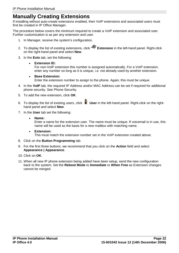# <span id="page-25-0"></span>**Manually Creating Extensions**

If installing without auto-create extensions enabled, then VoIP extensions and associated users must first be created in IP Office Manager.

The procedure below covers the minimum required to create a VoIP extension and associated user. Further customization is as per any extension and user.

- 1. In Manager, receive the system's configuration.
- 2. To display the list of existing extensions, click **Extension** in the left-hand panel. Right-click on the right-hand panel and select **New**.
- 3. In the **Extn** tab, set the following:
	- **Extension ID:** For non-VoIP extension this number is assigned automatically. For a VoIP extension, enter any number so long as it is unique, i.e. not already used by another extension.
	- **Base Extension:** Enter the extension number to assign to the phone. Again, this must be unique.
- 4. In the **VoIP** tab, the required IP Address and/or MAC Address can be set if required for additional phone security. See Phone Security.
- 5. To add the new extension, click **OK**.
- 6. To display the list of existing users, click **User** in the left-hand panel. Right-click on the right hand panel and select **New**.
- 7. In the **User** tab set the following:
	- **Name:** Enter a name for the extension user. The name must be unique. If voicemail is in use, this name will be used as the basis for a new mailbox with matching name.
	- **Extension:** This must match the extension number set in the VoIP extension created above.
- 8. Click on the **Button Programming** tab.
- 9. For the first three buttons, we recommend that you click on the **Action** field and select **Appearance | Appearance**.
- 
- 10. Click on **OK**.<br>11. When all new IP phone extension being added have been setup, send the new configuration back to the system. Set the **Reboot Mode** to **Immediate** or **When Free** as Extension changes cannot be merged.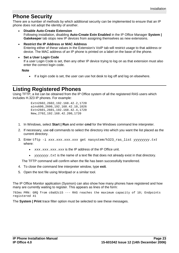### <span id="page-26-0"></span>**Phone Security**

There are a number of methods by which additional security can be implemented to ensure that an IP phone does not adopt the identity of another.

- **Disable Auto-Create Extension** Following installation, disabling **Auto-Create Extn Enabled** in the IP Office Manager **System | Gatekeeper** tab stops new IP devices from assigning themselves as new extensions.
- **Restrict the IP Address or MAC Address** Entering either of these values in the Extension's VoIP tab willrestrict usage to that address or device. The MAC address of an IP phone is printed on a label on the base of the phone.
- **Set a User Login Code** If a user Login Code is set, then any other IP device trying to log on as that extension must also enter the correct login code.

**Note**

If a login code is set, the user can use hot desk to log off and log on elsewhere.

### **Listing Registered Phones**

Using TFTP, a list can be obtained from the IP Office system of all the registered RAS users which includes H.323 IP phones. For example:

> Extn2602,2602,192.168.42.2,1720 ains600,2600,192.168.42.10,1026 Extn2601,2601,192.168.42.4,1720 New,2702,192.168.42.200,1720

- 1. In Windows, select **Start | Run** and enter **cmd** for the Windows command line interpreter.
- 2. If necessary, use **cd** commands to select the directory into which you want the list placed as the current directory.
- 3. Enter tftp -i xxx.xxx.xxx.xxx get nasystem/h323\_ras\_list yyyyyyyy.txt where:
	- $xxx$ ,  $xxx$ ,  $xxx$ ,  $xxx$  is the IP address of the IP Office unit.
	- yyyyyyy, txt is the name of a text file that does not already exist in that directory.

The TFTP command will confirm when the file has been successfully transferred.

- 4. To close the command line interpreter window, type **exit**.
- 5. Open the text file using Wordpad or a similar tool.

The IP Office Monitor application (Sysmon) can also show how many phones have registered and how many are currently waiting to register. This appears as lines of the form:

792ms PRN: GRQ from c0a82c15 --- RAS reaches the maximum capacity of 10; Endpoints registered 41

The **System | Print** trace filter option must be selected to see these messages.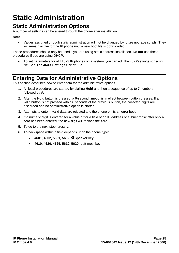# <span id="page-28-0"></span>**Static Administration**

## **Static Administration Options**

A number of settings can be altered through the phone after installation.

#### **Note**

 Values assigned through static administration will not be changed by future upgrade scripts. They will remain active for the IP phone until a new boot file is downloaded.

These procedures should only be used if you are using static address installation. Do **not** use these procedures if you are using DHCP.

 To set parameters for all H.323 IP phones on a system, you can edit the 46XXsettings.scr script file. See **The 46XX Settings Script File**.

## **Entering Data for Administrative Options**

This section describes how to enter data for the administrative options.

- 1. All local procedures are started by dialling **Hold** and then a sequence of up to 7 numbers followed by **#**.
- 2. After the **Hold** button is pressed, a 6-second timeout is in effect between button presses. If a valid button is not pressed within 6 seconds of the previous button, the collected digits are discarded and no administrative option is started.
- 3. Attempts to enter invalid data are rejected and the phone emits an error beep.
- 4. If a numeric digit is entered for a value or for a field of an IP address or subnet mask after only a zero has been entered, the new digit will replace the zero.
- 5. To go to the next step, press **#**.
- 6. To backspace within a field depends upon the phone type:
	- **4601, 4602, 5601, 5602: Speaker** key.
	- **4610, 4620, 4625, 5610, 5620:** Left-most key.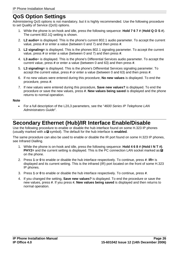### <span id="page-29-0"></span>**QoS Option Settings**

Administering QoS options is not mandatory, but it is highly recommended. Use the following procedure to set Quality of Service (QoS) options.

- 1. While the phone is on-hook and idle, press the following sequence: **Hold 7 6 7 #** (**Hold Q O S #**). The current 802.1Q setting is shown.
- 2. **L2 audio=** is displayed. This is the phone's current 802.1 audio parameter. To accept the current value, press **#** or enter a value (between 0 and 7) and then press **#**.
- 3. **L2 signaling=** is displayed. This is the phones 802.1 signaling parameter. To accept the current value, press **#** or enter a value (between 0 and 7) and then press **#**.
- 4. **L3 audio**= is displayed. This is the phone's Differential Services audio parameter. To accept the current value, press **#** or enter a value (between 0 and 63) and then press **#**.
- 5. **L3 signaling=** is displayed. This is the phone's Differential Services signaling parameter. To accept the current value, press **#** or enter a value (between 0 and 63)and then press **#**.
- 6. If no new values were entered during this procedure, **No new values** is displayed. To end the procedure, press **#**.
- 7. If new values were entered during this procedure, **Save new values?** is displayed. To end the procedure or save the new values, press **#**. **New values being saved** is displayed and the phone returns to normal operation.

#### **Note**

 For a full description of the L2/L3 parameters, see the "4600 Series IP Telephone LAN Administrators Guide".

## **Secondary Ethernet (Hub)/IR Interface Enable/Disable**

Use the following procedure to enable or disable the hub interface found on some H.323 IP phones (usually marked with a  $\blacksquare$  symbol). The default for the hub interface is **enabled**.

The same procedure can also be used to enable or disable the IR port found on some H.323 IP phones, see Infrared Dialling.

- 1. While the phone is on-hook and idle, press the following sequence: **Hold 4 6 8 # (Hold I N T #)**. **PHY2=** and the current setting is displayed. This is the PC connection LAN socket marked as **□** on the phone.
- 2. Press **1** or **0** to enable or disable the hub interface respectively. To continue, press **#**. **IR=** is displayed and its current setting. This is the infrared (IR) port located on the front of some H.323 IP phones.
- 3. Press **1** or **0** to enable or disable the hub interface respectively. To continue, press **#**.
- 4. If you changed the setting, **Save new values?** is displayed. To end the procedure or save the new values, press **#**. If you press **#**, **New values being saved** is displayed and then returns to normal operation.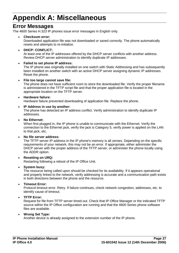# <span id="page-30-0"></span>**Appendix A: Miscellaneous**

## **Error Messages**

The 4600 Series H.323 IP phones issue error messages in English only.

#### **Checksum error:**

Downloaded application file was not downloaded or saved correctly. The phone automatically resets and attempts to re-initialize.

#### **DHCP: CONFLICT:**

At least one of the IP addresses offered by the DHCP server conflicts with another address. Review DHCP server administration to identify duplicate IP addresses.

#### **Failed to set phone IP address:**

The IP phone was originally installed on one switch with Static Addressing and has subsequently been installed on another switch with an active DHCP server assigning dynamic IP addresses. Reset the phone.

#### **File too large cannot save file:**

The phone does not have sufficient room to store the downloaded file. Verify the proper filename is administered in the TFTP script file and that the proper application file is located in the appropriate location on the TFTP server.

#### **Hardware failure:**

Hardware failure prevented downloading of application file. Replace the phone.

#### **IP Address in use by another:**

The phone has detected an IP address conflict. Verify administration to identify duplicate IP addresses.

#### **No Ethernet:**

When first plugged in, the IP phone is unable to communicate with the Ethernet. Verify the connection to the Ethernet jack, verify the jack is Category 5, verify power is applied on the LAN to that jack, etc.

#### **No file server address:**

The TFTP server IP address in the IP phone's memory is all zeroes. Depending on the specific requirements of your network, this may not be an error. If appropriate, either administer the DHCP server with the proper address of the TFTP server, or administer the phone locally using the ADDR option.

#### **Resetting on URQ:**

Restarting following a reboot of the IP Office Unit.

#### **System busy:**

The resource being called upon should be checked for its availability. If it appears operational and properly linked to the network, verify addressing is accurate and a communication path exists in both directions between the phone and the resource.

#### **Timeout Error:**

Protocol timeout error. Retry. If failure continues, check network congestion, addresses, etc. to identify cause of timeout.

#### **TFTP Error:**

Request for file from TFTP server timed out. Check that IP Office Manager or the indicated TFTP source within the IP Office configuration are running and that the 4600 Series phone software files are available.

#### **Wrong Set Type:**

Another device is already assigned to the extension number of the IP phone.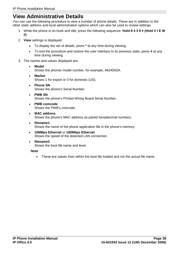## <span id="page-31-0"></span>**View Administrative Details**

You can use the following procedure to view a number of phone details. These are in addition to the other static address and local administration options which can also be used to review settings.

- 1. While the phone is on-hook and idle, press the following sequence: **Hold 8 4 3 9 # (Hold V I E W #)**
- 2. **View** settings is displayed.
	- To display the set of details, press **\*** at any time during viewing.
	- To end the procedure and restore the user interface to its previous state, press **#** at any time during viewing.
- 3. The names and values displayed are:
	- **Model** Shows the phones model number; for example, 4624D02A.
	- **Market** Shows 1 for export or 0 for domestic (US).
	- **Phone SN** Shows the phone's Serial Number.
	- **PWB SN** Shows the phone's Printed Wiring Board Serial Number.
	- **PWB comcode** Shows the PWB's comcode.
	- **MAC address** Shows the phone's MAC address as paired hexadecimal numbers.
	- **filename1** Shows the name of the phone application file in the phone's memory.
	- **10MBps Ethernet** or **100Mbps Ethernet** Shows the speed of the detected LAN connection.
	- **filename2** Shows the boot file name and level.

#### **Note**

These are values from within the boot file loaded and not the actual file name.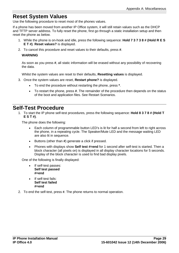### <span id="page-32-0"></span>**Reset System Values**

Use the following procedure to reset most of the phones values.

If a phone has been moved from another IP Office system, it will still retain values such as the DHCP and TFTP server address. To fully reset the phone, first go through a static installation setup and then reset the phone as below.

- 1. While the phone is on-hook and idle, press the following sequence: **Hold 7 3 7 3 8 # (Hold R E S E T #)**. **Reset values?** is displayed.
- 2. To cancel this procedure and reset values to their defaults, press **#**.

#### **WARNING**

As soon as you press **#**, all static information will be erased without any possibility of recovering the data.

Whilst the system values are reset to their defaults, **Resetting values** is displayed.

- 3. Once the system values are reset, **Restart phone?** is displayed.
	- To end the procedure without restarting the phone, press **\***.
	- To restart the phone, press **#**. The remainder of the procedure then depends on the status of the boot and application files. See Restart Scenarios.

### **Self-Test Procedure**

1. To start the IP phone self-test procedures, press the following sequence: **Hold 8 3 7 8 # (Hold T E S T #)**.

The phone does the following:

- Each column of programmable button LED's is lit for half a second from left to right across the phone, in a repeating cycle. The Speaker/Mute LED and the message waiting LED are also lit in sequence.
- Buttons (other than **#**) generate a click if pressed.
- Phones with displays show **Self test #=end** for 1 second after self-test is started. Then a block character (all pixels on) is displayed in all display character locations for 5 seconds. Display of the block character is used to find bad display pixels.

One of the following is finally displayed:

- If self-test passes: **Self test passed #=end**
- If self-test fails: **Self test failed #=end**
- 2. To end the self-test, press **#**. The phone returns to normal operation.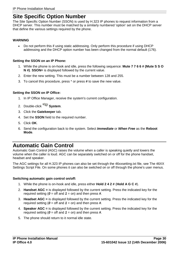# <span id="page-33-0"></span>**Site Specific Option Number**

The Site Specific Option Number (SSON) is used by H.323 IP phones to request information from a DHCP server. This number must be matched by a similarly numbered 'option' set on the DHCP server that define the various settings required by the phone.

#### **WARNING**

 Do not perform this if using static addressing. Only perform this procedure if using DHCP addressing and the DHCP option number has been changed from the normal default (176).

#### **Setting the SSON on an IP Phone:**

- 1. While the phone is on-hook and idle, press the following sequence: **Mute 7 7 6 6 # (Mute S S O N #)**. **SSON=** is displayed followed by the current value.
- 2. Enter the new setting. This must be a number between 128 and 255.
- 3. To cancel this procedure, press \* or press **#** to save the new value.

#### **Setting the SSON on IP Office:**

- 1. In IP Office Manager, receive the system's current configuration.
- 2. Double-click **System**.
- 3. Click the **Gatekeeper** tab.
- 4. Set the **SSON** field to the required number.
- 5. Click **OK**.
- 6. Send the configuration back to the system. Select **Immediate** or **When Free** as the **Reboot Mode**.

### **Automatic Gain Control**

Automatic Gain Control (AGC) raises the volume when a caller is speaking quietly and lowers the volume when the caller is loud. AGC can be separately switched on or off for the phone handset, headset and speaker.

The AGC settings for all H.323 IP phones can also be set through the 46xxsetting.txt file, see The 46XX Settings Script File. On some phones it can also be switched on or off through the phone's user menus.

#### **Switching automatic gain control on/off:**

- 1. While the phone is on-hook and idle, press either **Hold 2 4 2 #** (**Hold A G C #**).
- 2. **Handset AGC =** is displayed followed by the current setting. Press the indicated key for the required setting ( $\boldsymbol{0}$  = off and  $\boldsymbol{1}$  = on) and then press **#**.
- 3. **Headset AGC =** is displayed followed by the current setting. Press the indicated key for the required setting ( $\boldsymbol{0}$  = off and  $\boldsymbol{1}$  = on) and then press **#**.
- 4. **Speaker AGC =** is displayed followed by the current setting. Press the indicated key for the required setting ( $\theta$  = off and  $\theta$  = on) and then press **#**.
- 5. The phone should return to it normal idle state.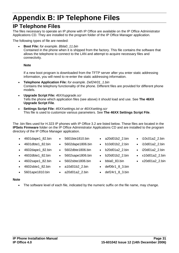# <span id="page-34-0"></span>**Appendix B: IP Telephone Files**

# **IP Telephone Files**

The files necessary to operate an IP phone with IP Office are available on the IP Office Administrator Applications CD. They are installed to the program folder of the IP Office Manager application.

The following types of file are needed:

 **Boot File:** for example. Bbla0\_11.bin Contained in the phone when it is shipped from the factory. This file contains the software that allows the telephone to connect to the LAN and attempt to acquire necessary files and connectivity.

#### **Note**

If a new boot program is downloaded from the TFTP server after you enter static addressing information, you will need to re-enter the static addressing information.

- **Telephone Application File:** for example. Def24r01\_1.bin Contains the telephony functionality of the phone. Different files are provided for different phone models.
- **Upgrade Script File:** 46XXupgrade.scr Tells the phone which application files (see above) it should load and use. See **The 46XX Upgrade Script File**.
- **Settings Script File:** 46XXsettings.txt or 46XXsetting.scr This file is used to customize various parameters. See **The 46XX Settings Script File**.

5601bte1810.bin

The .bin files used for H.323 IP phones with IP Office 3.2 are listed below. These files are located in the **IPSets Firmware** folder on the IP Office Administrator Applications CD and are installed to the program directory of the IP Office Manager application.

- $\bullet$  4601 dape1 82.bin  $\bullet$
- 4601dbte1\_82.bin •
- 4602dape1\_82.bin
- 4602dbte1\_82.bin
- 4602sape1 82.bin •
- 4602sbte1 82.bin •
- 5601ape1810.bin a20d01a2\_2.bin
- 5602dape1806.bin b10d01b2\_2.bin
	- b20d01a2\_2.bin

a20d01b2\_2.bin

 i10c01a2\_2.bin i10d01a2\_2.bin i20d01a2\_2.bin x10d01a2\_2.bin x20d01a2\_2.bin

- b20d01b2\_2.bin
- bbla0\_83.bin
- def06r1\_8\_3.bin
- def24r1\_8\_3.bin

#### **Note**

• The software level of each file, indicated by the numeric suffix on the file name, may change.

- 
- 5602dbte1806.bin 5602sape1806.bin
- 5602sbte1806.bin
- a10d01b2\_2.bin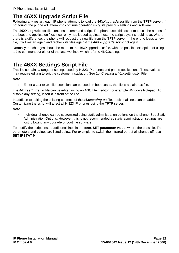# <span id="page-35-0"></span>**The 46XX Upgrade Script File**

Following any restart, each IP phone attempts to load the **46XXupgrade.scr** file from the TFTP server. If not found, the phone will attempt to continue operation using its previous settings and software.

The **46XXupgrade.scr** file contains a command script. The phone uses this script to check the names of the boot and application files it currently has loaded against those the script says it should have. Where there is a difference, the phone will request the new file from the TFTP server. If the phone loads a new file, it will restart again and recheck its files against the **46XXupgrade.scr** script again.

Normally, no changes should be made to the 46XXupgrade.scr file, with the possible exception of using a **#** to comment out either of the last two lines which refer to 46XXsettings.

### **The 46XX Settings Script File**

This file contains a range of settings used by H.323 IP phones and phone applications. These values may require editing to suit the customer installation. See 1b. Creating a 46xxsettings.txt File.

#### **Note**

Either a .scr or .txt file extension can be used. In both cases, the file is a plain text file.

The **46xxsettings.txt** file can be edited using an ASCII text editor, for example Windows Notepad. To disable any setting, insert **#** in front of the line.

In addition to editing the existing contents of the **46xxsetting.txt** file, additional lines can be added. Customizing the script will affect all H.323 IP phones using the TFTP server.

#### **Note**

 Individual phones can be customized using static administration options on the phone. See Static Administration Options. However, this is not recommended as static administration settings are lost following any upgrade of boot file software.

To modify the script, insert additional lines in the form, **SET parameter value,** where the possible. The parameters and values are listed below. For example, to switch the infrared port of all phones off, use **SET IRSTAT 0**.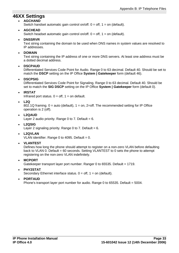### <span id="page-36-0"></span>**46XX Settings**

#### **AGCHAND**

Switch handset automatic gain control on/off.  $0 = \text{off}$ ,  $1 = \text{on}$  (default).

#### **AGCHEAD**

Switch headset automatic gain control on/off.  $0 = \text{off}$ ,  $1 = \text{on}$  (default).

#### **DNSSRVR**

Text string containing the domain to be used when DNS names in system values are resolved to IP addresses.

#### **DOMAIN**

Text string containing the IP address of one or more DNS servers. At least one address must be a dotted decimal address.

#### **DSCPAUD**

Differentiated Services Code Point for Audio. Range 0 to 63 decimal. Default 40. Should be set to match the **DSCP** setting on the IP Office **System | Gatekeeper** form (default 46).

#### **DSCPSIG**

Differentiated Services Code Point for Signaling. Range 0 to 63 decimal. Default 40. Should be set to match the **SIG DSCP** setting on the IP Office **System | Gatekeeper** form (default 0).

#### **IRSTAT**

Infrared port status.  $0 = \text{off}, 1 = \text{on}$  default.

#### **L2Q**

802.1Q framing.  $0 =$  auto (default),  $1 =$  on, 2=off. The recommended setting for IP Office operation is 2 (off).

**L2QAUD**

Layer 2 audio priority. Range 0 to 7. Default =  $6$ .

#### **L2QSIG**

Layer 2 signaling priority. Range 0 to 7. Default  $= 6$ .

#### **L2QVLAN**

VLAN identifier. Range 0 to 4095. Default =  $0$ .

#### **VLANTEST**

Defines how long the phone should attempt to register on a non-zero VLAN before defaulting back to VLAN 0. Default = 60 seconds. Setting VLANTEST to 0 sets the phone to attempt registering on the non-zero VLAN indefinitely.

- **MCPORT** Gatekeeper transport layer port number. Ranger 0 to 65535. Default = 1719.
- **PHY2STAT** Secondary Ethernet interface status.  $0 = \text{off}, 1 = \text{on}$  (default).
- **PORTAUD**

Phone's transport layer port number for audio. Range 0 to 65535. Default = 5004.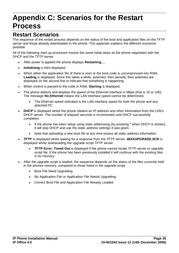# <span id="page-38-0"></span>**Appendix C: Scenarios for the Restart Process**

## **Restart Scenarios**

The sequence of the restart process depends on the status of the boot and application files on the TFTP server and those already downloaded to the phone. This appendix explains the different scenarios possible.

All of the following start-up processes involve the same initial steps as the phone negotiates with the DHCP and the TFTP server.

- After power is applied the phone displays **Restarting....**
- **Initializing** is then displayed.
- When either the application file (if there is one) or the boot code is uncompressed into RAM, **Loading** is displayed. Since this takes a while, asterisks, then periods, then asterisks are displayed on the second line to indicate that something is happening.
- When control is passed to the code in RAM, **Starting** is displayed.
- The phone detects and displays the speed of the Ethernet interface in Mbps (that is 10 or 100). The message **No Ethernet** means the LAN interface speed cannot be determined.
	- The Ethernet speed indicated is the LAN interface speed for both the phone and any attached PC.
- **DHCP** is displayed whilst the phone obtains an IP address and other information from the LAN's DHCP server. The number of elapsed seconds is incremented until DHCP successfully completes.
	- If the phone has been setup using static addressing (by pressing \* when DHCP is shown), it will skip DHCP and use the static address settings it was given.
	- Note that uploading a new boot file at any time erases all static address information.
- **TFTP** is displayed whilst waiting for a response from the TFTP server. **46XXUPGRADE.SCR** is displayed whilst downloading the upgrade script TFTP server.
	- **TFTP Error: Timed Out** is displayed if the phone cannot locate TFTP server or upgrade script file. If the phone has been previously installed it will continue with the existing files in its memory.
- After the upgrade script is loaded, the sequence depends on the status of the files currently held in the phones memory, compared to those listed in the upgrade script.
	- Boot File Need Upgrading.
	- No Application File or Application File Needs Upgrading.
	- Correct Boot File and Application File Already Loaded.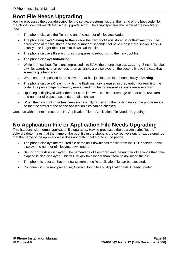# <span id="page-39-0"></span>**Boot File Needs Upgrading**

Having processed the upgrade script file, the software determines that the name of the boot code file in the phone does not match that in the upgrade script. The script specifies the name of the new file to load.

- The phone displays the file name and the number of kilobytes loaded.
- The phone displays **Saving to flash** while the new boot file is stored in its flash memory. The percentage of the file stored and the number of seconds that have elapsed are shown. This will usually take longer than it took to download the file.
- The phone displays **Restarting** as it prepares to reboot using the new boot file.
- The phone displays **Initializing**.
- While the new boot file is uncompressed into RAM, the phone displays **Loading**. Since this takes a while, asterisks, then periods, then asterisks are displayed on the second line to indicate that something is happening.
- When control is passed to the software that has just loaded, the phone displays **Starting**.
- The phone displays **Clearing** whilst the flash memory is erased in preparation for rewriting the code. The percentage of memory erased and number of elapsed seconds are also shown.
- Updating is displayed whilst the boot code is rewritten. The percentage of boot code rewritten and number of elapsed seconds are also shown.
- When the new boot code has been successfully written into the flash memory, the phone resets so that the status of the phone application files can be checked.

Continue with the next procedure; No Application File or Application File Needs Upgrading.

## **No Application File or Application File Needs Upgrading**

This happens with normal application file upgrades. Having processed the upgrade script file, the software determines that the name of the boot file in the phone is the correct version. It next determines that the name of the application file does not match that stored in the phone.

- The phone displays the required file name as it downloads the file from the TFTP server. It also displays the number of kilobytes downloaded.
- **Saving to flash** is displayed. The percentage of file stored and the number of seconds that have elapsed is also displayed. This will usually take longer than it took to download the file.
- The phone is reset so that the new system-specific application file can be executed.
- Continue with the next procedure; Correct Boot File and Application File Already Loaded.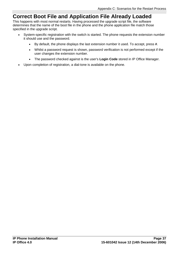## <span id="page-40-0"></span>**Correct Boot File and Application File Already Loaded**

This happens with most normal restarts. Having processed the upgrade script file, the software determines that the name of the boot file in the phone and the phone application file match those specified in the upgrade script.

- System-specific registration with the switch is started. The phone requests the extension number it should use and the password.
	- By default, the phone displays the last extension number it used. To accept, press **#**.
	- Whilst a password request is shown, password verification is not performed except if the user changes the extension number.
	- The password checked against is the user's **Login Code** stored in IP Office Manager.
- Upon completion of registration, a dial-tone is available on the phone.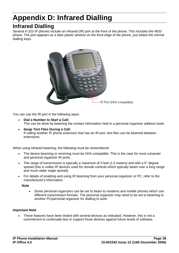# <span id="page-42-0"></span>**Appendix D: Infrared Dialling**

# **Infrared Dialling**

Several H.323 IP phones include an infrared (IR) port at the front of the phone. This includes the 4620 phone. The port appears as a dark plastic window on the front edge of the phone, just below the normal dialling keys.



You can use the IR port in the following ways:

- **Dial a Number to Start a Call:** This can be done by beaming the contact information held in a personal organizer address book.
- **Swap Text Files During a Call:** If calling another IP phone extension that has an IR port, text files can be beamed between extensions.

When using infrared beaming, the following must be remembered:

- The device beaming or receiving must be IrDA compatible. This is the case for most computer and personal organizer IR ports.
- The range of transmission is typically a maximum of 5 feet (1.5 meters) and with a  $5^\circ$  degree spread (this is unlike IR devices used for remote controls which typically beam over a long range and much wider angle spread).
- For details of enabling and using IR beaming from your personal organizer or PC, refer to the manufacturer's information.

#### **Note**

 Some personal organizers can be set to beam to modems and mobile phones which use different transmission formats. The personal organizer may need to be set to beaming to another PC/personal organizer for dialling to work.

#### **Important Note**

 These features have been tested with several devices as indicated. However, this is nota commitment to continually test or support those devices against future levels of software.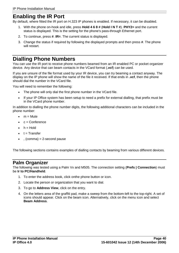### <span id="page-43-0"></span>**Enabling the IR Port**

By default, where fitted the IR port on H.323 IP phones is enabled. If necessary, it can be disabled.

- 1. With the phone on-hook and idle, press **Hold 4 6 8 # (Hold I N T #). PHY2=** and the current status is displayed. This is the setting for the phone's pass-through Ethernet port.
- 2. To continue, press **#**. **IR=**. The current status is displayed.
- 3. Change the status if required by following the displayed prompts and then press **#**. The phone will restart.

## **Dialling Phone Numbers**

You can use the IR port to receive phone numbers beamed from an IR enabled PC or pocket organizer device. Any device that can beam contacts in the VCard format (**.vcf**) can be used.

If you are unsure of the file format used by your IR device, you can try beaming a contact anyway. The display on the IP phone will show the name of the file it received. If that ends in **.vcf**, then the phone should dial the number in the VCard file.

You will need to remember the following:

- The phone will only dial the first phone number in the VCard file.
- If your IP Office system has been setup to need a prefix for external dialling, that prefix must be in the VCard phone number.

In addition to dialling the phone number digits, the following additional characters can be included in the phone number:

- $m =$  Mute
- c = Conference
- $\bullet$  h = Hold
- $\bullet$  t = Transfer
- , (comma) = 2-second pause

The following sections contains examples of dialling contacts by beaming from various different devices.

### **Palm Organizer**

The following was tested using a Palm Vx and M505. The connection setting (**Prefs | Connection**) must be **Ir to PC/Handheld**.

- 1. To enter the address book, click onthe phone button or icon.
- 2. Locate the person or organization that you want to dial.
- 3. To go to **Address View**, click on the entry.
- 4. On the letters area of the graffiti pad, make a sweep from the bottom-left to the top-right. A set of icons should appear. Click on the beam icon. Alternatively, click on the menu icon and select **Beam Address**.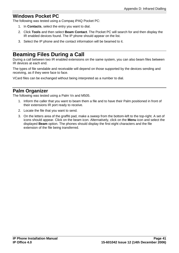### <span id="page-44-0"></span>**Windows Pocket PC**

The following was tested using a Compaq iPAQ Pocket PC:

- 1. In **Contacts**, select the entry you want to dial.
- 2. Click **Tools** and then select **Beam Contact**. The Pocket PC will search for and then display the IR enabled devices found. The IP phone should appear on the list.
- 3. Select the IP phone and the contact information will be beamed to it.

## **Beaming Files During a Call**

During a call between two IR enabled extensions on the same system, you can also beam files between IR devices at each end.

The types of file sendable and receivable will depend on those supported by the devices sending and receiving, as if they were face to face.

VCard files can be exchanged without being interpreted as a number to dial.

### **Palm Organizer**

The following was tested using a Palm Vx and M505.

- 1. Inform the caller that you want to beam them a file and to have their Palm positioned in front of their extensions IR port ready to receive.
- 2. Locate the file that you want to send.
- 3. On the letters area of the graffiti pad, make a sweep from the bottom-left to the top-right. A set of icons should appear. Click on the beam icon. Alternatively, click on the **Menu** icon and select the displayed **Beam** option. The phones should display the first eight characters and the file extension of the file being transferred.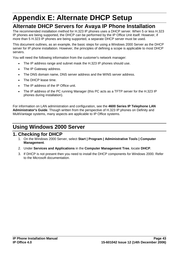# <span id="page-46-0"></span>**Appendix E: Alternate DHCP Setup**

## **Alternate DHCP Servers for Avaya IP Phone Installation**

The recommended installation method for H.323 IP phones uses a DHCP server. When 5 or less H.323 IP phones are being supported, the DHCP can be performed by the IP Office Unit itself. However, if more than 5 H.323 IP phones are being supported, a separate DHCP server must be used.

This document outlines, as an example, the basic steps for using a Windows 2000 Server as the DHCP server for IP phone installation. However, the principles of defining a scope is applicable to most DHCP servers.

You will need the following information from the customer's network manager:

- The IP address range and subnet mask the H.323 IP phones should use.
- The IP Gateway address.
- The DNS domain name, DNS server address and the WINS server address.
- The DHCP lease time.
- The IP address of the IP Office unit.
- The IP address of the PC running Manager (this PC acts as a TFTP server for the H.323 IP phones during installation).

For information on LAN administration and configuration, see the **4600 Series IP Telephone LAN Administrator's Guide**. Though written from the perspective of H.323 IP phones on Definity and MultiVantage systems, many aspects are applicable to IP Office systems.

# **Using Windows 2000 Server**

### **1. Checking for DHCP**

- 1. On the Windows 2000 Server, select **Start | Program | Administrative Tools | Computer Management**.
- 2. Under **Services and Applications** in the **Computer Management Tree**, locate **DHCP**.
- 3. If DHCP is not present then you need to install the DHCP components for Windows 2000. Refer to the Microsoft documentation.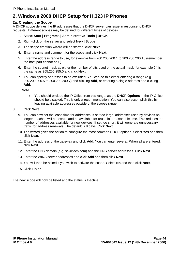### <span id="page-47-0"></span>**2. Windows 2000 DHCP Setup for H.323 IP Phones**

#### **2a. Creating the Scope**

A DHCP scope defines the IP addresses that the DHCP server can issue in response to DHCP requests. Different scopes may be defined for different types of devices.

- 1. Select **Start | Programs | Administrative Tools | DHCP**.
- 2. Right-click on the server and select **New | Scope**.
- 3. The scope creation wizard will be started, click **Next**.
- 4. Enter a name and comment for the scope and click **Next**.
- 5. Enter the address range to use, for example from 200.200.200.1 to 200.200.200.15 (remember the host part cannot be 0).
- 6. Enter the subnet mask as either the number of bits used or the actual mask, for example 24 is the same as 255.255.255.0 and click **Next**.
- 7. You can specify addresses to be excluded. You can do this either entering a range (e.g. 200.200.200.5 to 200.200.200.7) and clicking **Add**, or entering a single address and clicking **Add**.

**Note**

- You should exclude the IP Office from this range, as the **DHCP Options** in the IP Office should be disabled. This is only a recommendation. You can also accomplish this by leaving available addresses outside of the scopes range.
- 8. Click **Next**.
	- 9. You can now set the lease time for addresses. If set too large, addresses used by devices no longer attached will not expire and be available for reuse in a reasonable time. This reduces the number of addresses available for new devices. If set too short, it will generate unnecessary traffic for address renewals. The default is 8 days. Click **Next**.
	- 10. The wizard gives the option to configure the most common DHCP options. Select **Yes** and then click **Next**.
	- 11. Enter the address of the gateway and click **Add**. You can enter several. When all are entered, click **Next**.
	- 12. Enter the DNS domain (e.g. savilltech.com) and the DNS server addresses. Click **Next**.
	- 13. Enter the WINS server addresses and click **Add** and then click **Next**.
	- 14. You will then be asked if you wish to activate the scope. Select **No** and then click **Next**.
	- 15. Click **Finish**.

The new scope will now be listed and the status is Inactive.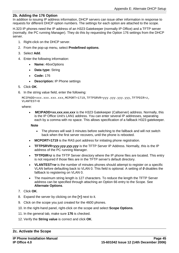#### **2b. Adding the 176 Option**

In addition to issuing IP address information, DHCP servers can issue other information in response to requests for different DHCP option numbers. The settings for each option are attached to the scope.

H.323 IP phones need the IP address of an H323 Gatekeeper (normally IP Office) and a TFTP server (normally, the PC running Manager). They do this by requesting the Option 176 settings from the DHCP server.

- 1. Right-click on the DHCP server.
- 2. From the pop-up menu, select **Predefined options**.
- 3. Select **Add**.
- 4. Enter the following information:
	- **Name:** 46xxOptions
	- **Data type:** String
	- **Code:** 176
	- **Description:** IP Phone settings
- 5. Click **OK**.
- 6. In the string value field, enter the following:

```
MCIPADD=xxx.xxx.xxx.xxx,MCPORT=1719,TFTPSRVR=yyy.yyy.yyy.yyy,TFTPDIR=z,
VLANTEST=0
```
where:

 **MCIPADD=xx.xxx.xxx.xxx** is the H323 Gatekeeper (Callserver) address. Normally, this is the IP Office Unit's LAN1 address. You can enter several IP addresses, separating each by a comma with no space. This allows specification of a fallback H323 gatekeeper.

**Note**

- The phones will wait 3 minutes before switching to the fallback and will not switch back when the first server recovers, until the phone is rebooted.
- **MCPORT=1719** is the RAS port address for initiating phone registration.
- **TFTPSRVR=yyy.yyy.yyy.yyy** is the TFTP Server IP Address. Normally, this is the IP address of the PC running Manager.
- **TFTPDIR=z** is the TFTP Server directory where the IP phone files are located. This entry is not required if those files are in the TFTP server's default directory.
- **VLANTEST=w** is the number of minutes phones should attempt to register on a specific VLAN before defaulting back to VLAN 0. This field is optional. A setting of **0** disables the fallback to registering on VLAN 0.
- The maximum string length is 127 characters. To reduce the length the TFTP Server address can be specified through attaching an Option 66 entry to the Scope. See **Alternate Options**.
- 7. Click **OK**.
- 8. Expand the server by clicking on the **[+]** next to it.
- 9. Click on the scope you just created for the 4600 phones.
- 10. In the right-hand panel, right-click on the scope and select **Scope Options**.
- 11. In the general tab, make sure **176** is checked.
- 12. Verify the **String value** is correct and click **OK**.

#### **2c. Activate the Scope**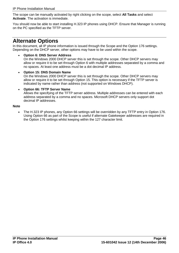<span id="page-49-0"></span>The scope can be manually activated by right clicking on the scope, select **All Tasks** and select **Activate**. The activation is immediate.

You should now be able to start installing H.323 IP phones using DHCP. Ensure that Manager is running on the PC specified as the TFTP server.

### **Alternate Options**

In this document, all IP phone information is issued through the Scope and the Option 176 settings. Depending on the DHCP server, other options may have to be used within the scope.

**Option 6: DNS Server Address**

On the Windows 2000 DHCP server this is set through the scope. Other DHCP servers may allow or require it to be set through Option 6 with multiple addresses separated by a comma and no spaces. At least one address must be a dot decimal IP address.

 **Option 15: DNS Domain Name** On the Windows 2000 DHCP server this is set through the scope. Other DHCP servers may allow or require it to be set through Option 15. This option is necessary if the TFTP server is indicated by name rather than address (not supported on Windows DHCP).

#### **Option 66: TFTP Server Name**

Allows the specifying of the TFTP server address. Multiple addresses can be entered with each address separated by a comma and no spaces. Microsoft DHCP servers only support dot decimal IP addresses.

#### **Note**

 The H.323 IP phones, any Option 66 settings will be overridden by any TFTP entry in Option 176. Using Option 66 as part of the Scope is useful if alternate Gatekeeper addresses are required in the Option 176 settings whilst keeping within the 127 character limit.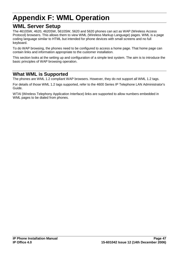# <span id="page-50-0"></span>**Appendix F: WML Operation**

### **WML Server Setup**

The 4610SW, 4620, 4620SW, 5610SW, 5620 and 5620 phones can act as WAP (Wireless Access Protocol) browsers. This allows them to view WML (Wireless Markup Language) pages. WML is a page coding language similar to HTML but intended for phone devices with small screens and no full keyboard.

To do WAP browsing, the phones need to be configured to access a home page. That home page can contain links and information appropriate to the customer installation.

This section looks at the setting up and configuration of a simple test system. The aim is to introduce the basic principles of WAP browsing operation.

### **What WML is Supported**

The phones are WML 1.2 compliant WAP browsers. However, they do not support all WML 1.2 tags.

For details of those WML 1.2 tags supported, refer to the 4600 Series IP Telephone LAN Administrator's Guide.

WTAI (Wireless Telephony Application Interface) links are supported to allow numbers embedded in WML pages to be dialed from phones.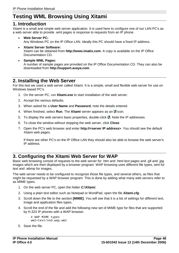# <span id="page-51-0"></span>**Testing WML Browsing Using Xitami**

### **1. Introduction**

Xitami is a small and simple web server application. It is used here to configure one of our LAN PC's as a web server able to provide .wml pages is response to requests from an IP phone.

- **Web Server PC:** Any Windows PC on the IP Office LAN. Ideally this PC should have a fixed IP address.
- **Xitami Server Software:** Xitami can be obtained from **http://www.imatix.com**. A copy is available on the IP Office Documentation CD.
- **Sample WML Pages:** A number of sample pages are provided on the IP Office Documentation CD.They can also be downloaded from **http://support.avaya.com**.

### **2. Installing the Web Server**

For this test we used a web server called Xitami. It is a simple, small and flexible web server for use on Windows based PC's.

- 1. On the server PC, run **Xitami.exe** to start installation of the web server.
- 2. Accept the various defaults.
- 3. When asked for a **User Name** and **Password**, note the details entered.
- 4. When finished, select **Run**. The **Xitami** server appears as an **A** icon.
- 5. To display the web servers basic properties, double-click  $\blacksquare$ . Note the IP addresses.
- 6. To close the window without stopping the web server, click **Close**.
- 7. Open the PC's web browser and enter **http://<server IP address>**. You should see the default Xitami web pages.

If there are other PC's on the IP Office LAN they should also be able to browse the web server's IP address.

### **3. Configuring the Xitami Web Server for WAP**

Basic web browsing consist of requests to the web server for .htm and .html text pages and .gif and .jpg images which are then displayed by a browser program. WAP browsing uses different file types, wml for text and .wbmp for images.

The web server needs to be configured to recognize those file types, and several others, as files that might be requested by a WAP browser program. This is done by adding what many web servers refer to as MIME types.

- 1. On the web server PC, open the folder **C:\Xitami**.
- 2. Using a plain text editor such as Notepad or WordPad, open the file **Xitami.cfg**.
- 3. Scroll down the file to the section **[MIME]**. You will see that it is a list of settings for different text, image and application files types.
- 4. Scroll the end of the file and add the following new set of MIME type for files that are supported by H.323 IP phones with a WAP browser.

```
# WAP MIME types
wml=text/vnd.wap.wml
```
5. Save the file.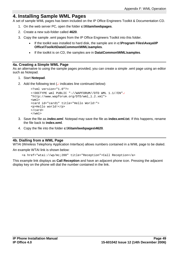### <span id="page-52-0"></span>**4. Installing Sample WML Pages**

A set of sample WML pages has been included on the IP Office Engineers Toolkit & Documentation CD.

- 1. On the web server PC, open the folder **c:\Xitami\webpages**.
- 2. Create a new sub-folder called **4620**.
- 3. Copy the sample .wml pages from the IP Office Engineers Toolkit into this folder.
	- If the toolkit was installed to hard disk, the sample are in **c:\Program Files\Avaya\IP Office\Toolkit\Data\Common\WML\samples**.
	- If the toolkit is on CD, the samples are in **Data\Common\WML\samples**.

#### **4a. Creating a Simple WML Page**

As an alternative to using the sample pages provided, you can create a simple .wml page using an editor such as Notepad.

- 1. Start **Notepad**.
- 2. Add the following text  $($  indicates line continued below):

```
<?xml version="1.0"?>
<!DOCTYPE wml PUBLIC "-//WAPFORUM//DTD WML 1.1//EN"
"http://www.wapforum.org/DTD/wml_1.2.xml">
<wm\frac{1}{2}<card id="card1" title="Hello World!">
<p>Hello world!</p>
</card>
\langle/wml\rangle
```
- 3. Save the file as **index.wml**. Notepad may save the file as **index.wml.txt**. If this happens, rename the file back to **index.wml**.
- 4. Copy the file into the folder **c:\Xitami\webpages\4620**.

#### **4b. Dialling from a WML Page**

WTAI (Wireless Telephony Application Interface) allows numbers contained in a WML page to be dialed.

An example WTAI link is shown below:

<a href="wtai://wp/mc;200" title="Reception">Call Reception</a>

This example link displays as **Call Reception** and have an adjacent phone icon. Pressing the adjacent display key on the phone will dial the number contained in the link.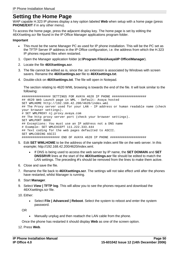### <span id="page-53-0"></span>**Setting the Home Page**

WAP capable H.323 IP phones display a key option labeled **Web** when setup with a home page (press **PHONE/EXIT** if in any other menu).

To access the home page, press the adjacent display key. The home page is setby editing the 46XXsetting.scr file found in the IP Office Manager applications program folder.

#### **Important**

- This must be the same Manager PC as used for IP phone installation. This will be the PC set as the TFTP Server IP address in the IP Office configuration, i.e. the address from which the H.323 IP phones request files when restarted.
- 1. Open the Manager application folder (**c:\Program Files\Avaya\IP Office\Manager**).
- 2. Locate the file **46XXsettings.scr**.
- 3. The file cannot be edited as is, since the .scr extension is associated by Windows with screen savers. Rename the **46XXsettings.scr** file to **46XXsettings.txt**.
- 4. Double-click on **46XXsettings.txt**. The file will open in Notepad.

The section relating to 4620 WML browsing is towards the end of the file. It will look similar to the following:

################ SETTINGS FOR AVAYA 4620 IP PHONE ################### ## 4620 Web Launch page in WML - Default: Avaya hosted SET WMLHOME http://192.168.42.200/4620/index.wml ## The Proxy server used for your LAN - IP address or human readable name (check your browser settings). # SET WMLPROXY nj.proxy.avaya.com ## The http proxy server port (check your browser settings). SET WMLPORT 8000 ## Exceptions: You must use an IP address not a DNS name # Example: SET WMLEXCEPT 111.222.333.444 ## Text coding for the web pages defaulted to ASCII. SET WMLCODING ASCII ##################### END OF AVAYA 4620 IP PHONE ####################

- 5. Edit **SET WMLHOME** to be the address of the sample index.wml file on the web server. In this example; http://192.168.42.200/4620/index.wml.
	- If DNS is being used to access the web server by IP name, the **SET DOMAIN** and **SET DNSSRVR** lines at the start of the **46XXsettings.scr** file should be edited to match the LAN settings. The preceding **#**'s should be removed from the lines to make them active.
- 6. Close and save the file.
- 7. Rename the file back to **46XXsettings.scr**. The settings will not take effect until after the phones have restarted, whilst Manager is running.
- 8. Start **Manager**.
- 9. Select **View | TFTP log**. This will allow you to see the phones request and download the 46XXsettings.scr file.
- 10. Either:
	- Select **File | Advanced | Reboot**. Select the system to reboot and enter the system password.

OR

Manually unplug and then reattach the LAN cable from the phone.

Once the phone has restarted it should display **Web** as one of the screen option.

12. Press **Web**.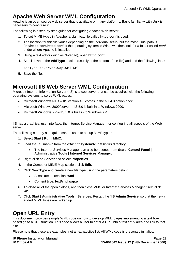## <span id="page-54-0"></span>**Apache Web Server WML Configuration**

Apache is an open-source web server that is available on many platforms. Basic familiarity with Unix is necessary to configure it.

The following is a step-by-step guide for configuring Apache Web-server:

- 1. To set MIME types in Apache, a plain text file called **httpd.conf** is used.
- 2. The location for this file varies depending on the individual setup, but the most usual path is **/etc/httpd/conf/httpd.conf**. If the operating system is Windows, then look for a folder called **conf** under where Apache is installed.
- 3. Using a text editor (such as Notepad), open **httpd.conf**.
- 4. Scroll down to the **AddType** section (usually at the bottom of the file) and add the following lines:

AddType text/vnd.wap.wml wml

5. Save the file.

### **Microsoft IIS Web Server WML Configuration**

Microsoft Internet Information Server (IIS) is a web server that can be acquired with the following operating systems to serve WML pages:

- Microsoft Windows NT  $4 -$  IIS version 4.0 comes in the NT 4.0 option pack.
- $\bullet$  Microsoft Windows 2000/server  $-$  IIS 5.0 is built in to Windows 2000.
- Microsoft Windows  $XP IIS 5.0$  is built in to Windows  $XP$ .

IIS has a graphical user interface, the Internet Service Manager, for configuring all aspects of the Web server.

The following step-by-step guide can be used to set up MIME types:

- 1. Select **Start | Run | MMC**.
- 2. Load the IIS snap-in from the **c:\winnt\system32\inetsrv\iis** directory.
	- The Internet Services Manager can also be opened from **Start | Control Panel | Administrative Tools | Internet Services Manager**.
- 3. Right-click on **Server** and select **Properties**.
- 4. In the Computer MIME Map section, click **Edit**.
- 5. Click **New Type** and create a new file type using the parameters below:
	- Associated extension: **wml**
	- Content type: **text/vnd.wap.wml**
- 6. To close all of the open dialogs, and then close MMC or Internet Services Manager itself, click **OK**.
- 7. Click **Start | Administrative Tools | Services**. Restart the ë**IIS Admin Service**í so that the newly added MIME types are picked up.

### **Open URL Entry**

This document provides sample WML code on how to develop WML pages implementing a text box based go to a URL function. This code allows a user to enter a URL into a text entry area and link to that site.

Please note that these are examples, not an exhaustive list. All WML code is presented in italics.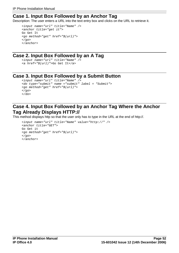### <span id="page-55-0"></span>**Case 1. Input Box Followed by an Anchor Tag**

Description: The user enters a URL into the text entry box and clicks on the URL to retrieve it.

```
<input name="url" title="Name" />
<anchor title="get it">
Go Get It
<go method="get" href="$(url)">
\langle qo>
</anchor>
```
### **Case 2. Input Box Followed by an A Tag**

```
<input name="url" title="Name" />
<a href="$(url)">Go Get It</a>
```
### **Case 3. Input Box Followed by a Submit Button**

```
<input name="url" title="Name" />
<do type="submit" name ="submit" label = "Submit">
<go method="get" href="$(url)">
\langle q_0 \rangle\langle do>
```
### **Case 4. Input Box Followed by an Anchor Tag Where the Anchor Tag Already Displays HTTP://**

This method displays http so that the user only has to type in the URL at the end of http://.

```
<input name="url" title="Name" value="http://" />
<anchor title="GET">
Go Get it
<go method="get" href="$(url)">
\langle q_{0}\rangle</anchor>
```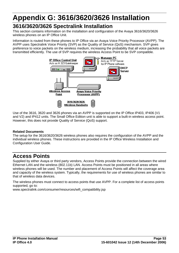# <span id="page-56-0"></span>**Appendix G: 3616/3620/3626 Installation**

# **3616/3620/3626 Spectralink Installation**

This section contains information on the installation and configuration of the Avaya 3616/3620/3626 wireless phones on an IP Office Unit.

Information is routed from these phones to IP Office via an Avaya Voice Priority Processor (AVPP). The AVPP uses Spectralink Voice Priority (SVP) as the Quality of Service (QoS) mechanism. SVP gives preference to voice packets on the wireless medium, increasing the probability that all voice packets are transmitted efficiently. The use of SVP requires the wireless Access Point to be SVP compatible.



Use of the 3616, 3620 and 3626 phones via an AVPP is supported on the IP Office IP403, IP406 (V1 and V2) and IP412 units. The Small Office Edition unit is able to support a built-in wireless access point. However, this does not provide Quality of Service (QoS) support.

#### **Related Documents**

The setup for the 3616/3620/3626 wireless phones also requires the configuration of the AVPP and the individual wireless phones. These instructions are provided in the IP Office Wireless Installation and Configuration User Guide.

## **Access Points**

Supplied by either Avaya or third party vendors, Access Points provide the connection between the wired Ethernet LAN and the wireless (802.11b) LAN. Access Points must be positioned in all areas where wireless phones will be used. The number and placement of Access Points will affect the coverage area and capacity of the wireless system. Typically, the requirements for use of wireless phones are similar to that of wireless data devices.

The wireless phones must connect to access points that use AVPP. For a complete list of access points supported, go to:

www.spectralink.com/consumer/resources/wifi\_compatibility.jsp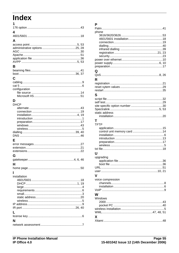# <span id="page-58-0"></span>**Index**

| 1             |  |
|---------------|--|
|               |  |
| 4             |  |
|               |  |
| A             |  |
|               |  |
|               |  |
|               |  |
|               |  |
|               |  |
| В             |  |
|               |  |
|               |  |
| C             |  |
|               |  |
|               |  |
| configuration |  |
|               |  |
|               |  |
| D             |  |
| <b>DHCP</b>   |  |
|               |  |
|               |  |
|               |  |
|               |  |
|               |  |
|               |  |
|               |  |
|               |  |
| Е             |  |
|               |  |
|               |  |
|               |  |
| G             |  |
|               |  |
| н             |  |
|               |  |
|               |  |
| installation  |  |
|               |  |
|               |  |
|               |  |
|               |  |
|               |  |
|               |  |
|               |  |
|               |  |
|               |  |
|               |  |
| N             |  |
|               |  |

#### P

| phone             |  |
|-------------------|--|
|                   |  |
|                   |  |
|                   |  |
|                   |  |
|                   |  |
|                   |  |
|                   |  |
|                   |  |
|                   |  |
|                   |  |
| Q                 |  |
|                   |  |
|                   |  |
| R                 |  |
|                   |  |
|                   |  |
|                   |  |
| S                 |  |
|                   |  |
|                   |  |
|                   |  |
|                   |  |
| static address    |  |
|                   |  |
|                   |  |
| Т                 |  |
| <b>TFTP</b>       |  |
|                   |  |
|                   |  |
|                   |  |
|                   |  |
|                   |  |
|                   |  |
|                   |  |
| U                 |  |
|                   |  |
|                   |  |
| upgrading         |  |
|                   |  |
|                   |  |
|                   |  |
|                   |  |
| v                 |  |
| voice compression |  |
|                   |  |
|                   |  |
|                   |  |
|                   |  |
| W                 |  |
| Windows           |  |
|                   |  |
|                   |  |
|                   |  |
|                   |  |
| X                 |  |
|                   |  |